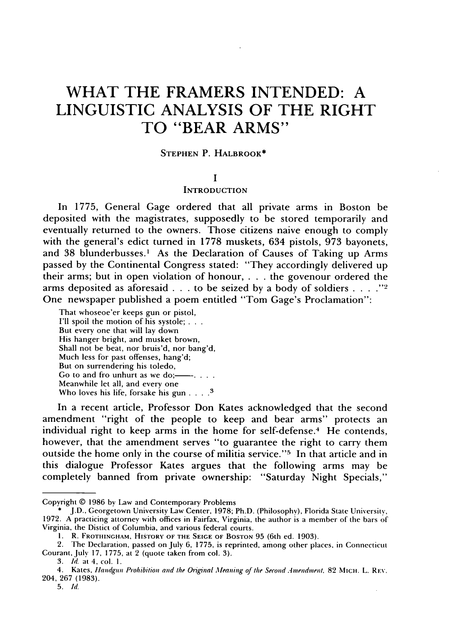# **WHAT THE FRAMERS INTENDED: A LINGUISTIC ANALYSIS OF THE RIGHT TO "BEAR ARMS"**

# **STEPHEN** P. **HALBROOK\***

### **I**

# **INTRODUCTION**

In **1775,** General Gage ordered that all private arms in Boston be deposited with the magistrates, supposedly to be stored temporarily and eventually returned to the owners. Those citizens naive enough to comply with the general's edict turned in **1778** muskets, 634 pistols, **973** bayonets, and 38 blunderbusses.<sup>1</sup> As the Declaration of Causes of Taking up Arms passed **by** the Continental Congress stated: "They accordingly delivered up their arms; but in open violation of honour, **. . .** the govenour ordered the arms deposited as aforesaid **. . .** to be seized **by** a body of soldiers **. . . . -2** One newspaper published a poem entitled "Tom Gage's Proclamation":

That whoseoe'er keeps gun or pistol, **I'll** spoil the motion of his systole; **. . .** But **every** one that will lay down His hanger bright, and musket brown, Shall not be beat, nor bruis'd, nor bang'd, Much less for past offenses, hang'd; But on surrendering his toledo, Go to and fro unhurt as we do;-Meanwhile let all, and every one Who loves his life, forsake his gun **. .. .**

In a recent article, Professor Don Kates acknowledged that the second amendment "right of the people to keep and bear arms" protects an individual right to keep arms in the home for self-defense.<sup>4</sup> He contends, however, that the amendment serves **"to** guarantee the right to carry them outside the home only in the course of militia service."<sup>5</sup> In that article and in this dialogue Professor Kates argues that the following arms may be completely banned from private ownership: "Saturday Night Specials,"

**5.** *Id.*

Copyright **© 1986 by** Law and Contemporary Problems

**<sup>\*</sup> J.D.,** Georgetown University Law Center, **1978;** Ph.D. (Philosophy), Florida State University, **1972. A** practicing attorney with **offices** in Fairfax, Virginia, the author is a member of the bars of Virginia, the Distict of Columbia, and various federal courts.

**i.** R. **FROTItiNGHAM, HISTORY OF THE SEIGE OF BOSTON 95** (6th ed. **1903).**

<sup>2.</sup> The Declaration, passed on July **6, 1775,** is reprinted, among other places, in Connecticut Courant, July **17, 1775,** at 2 (quote taken from col. **3).**

*<sup>3.</sup> Id.* **at** 4, col. **1.**

<sup>4.</sup> Kates, **Hiandgun** Prohibition *and* the Oiginal *Mleaning* of *the Second Anmendmient.* **82 MicH. L. REV.** 204, **267 (1983).**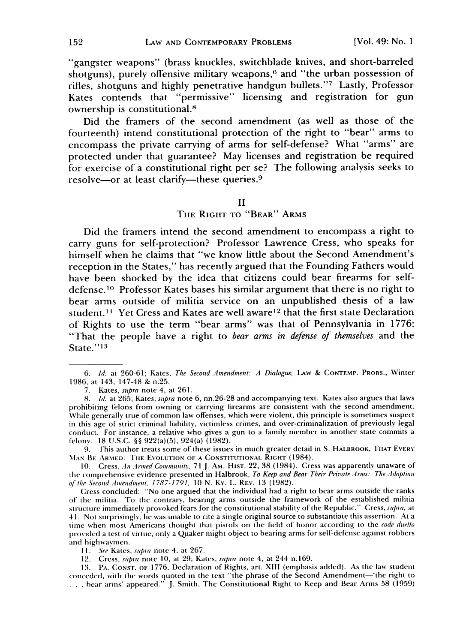"gangster weapons" (brass knuckles, switchblade knives, and short-barreled shotguns), purely offensive military weapons,<sup> $6$ </sup> and "the urban possession of rifles, shotguns and highly penetrative handgun bullets."7 Lastly, Professor Kates contends that "permissive" licensing and registration for gun ownership is constitutional.<sup>8</sup>

Did the framers of the second amendment (as well as those of the fourteenth) intend constitutional protection of the right to "bear" arms to encompass the private carrying of arms for self-defense? What "arms" are protected under that guarantee? May licenses and registration be required for exercise of a constitutional right per se? The following analysis seeks to resolve-or at least clarify-these queries.<sup>9</sup>

### II

### THE RIGHT TO "BEAR" ARMS

Did the framers intend the second amendment to encompass a right to carry guns for self-protection? Professor Lawrence Cress, who speaks for himself when he claims that "we know little about the Second Amendment's reception in the States," has recently argued that the Founding Fathers would have been shocked by the idea that citizens could bear firearms for selfdefense.<sup>10</sup> Professor Kates bases his similar argument that there is no right to bear arms outside of militia service on an unpublished thesis of a law student.<sup>11</sup> Yet Cress and Kates are well aware<sup>12</sup> that the first state Declaration of Rights to use the term "bear arms" was that of Pennsylvania in **1776:** "That the people have a right to *bear arms in defense of themselves* and the State." **<sup>13</sup>**

9. This author treats some of these issues in much greater detail in S. HALBROOK, THAT EvERY **MAN** BE ARMED: THE EVOLUTION **OF A** CONSTITUTIONAL RIGHT (1984).

10. Cress, An *Armed Community,* 71 J. AM. HIST. 22, 38 (1984). Cress was apparently unaware of the comprehensive evidence presented in Halbrook, *To Keep and Bear Their Private Arms: The Adoption of the Second Amendment, 1787-1791,* 10 N. Ky. L. REV. 13 (1982).

Cress concluded: "No one argued that the individual had a right to bear arms outside the ranks of the militia. To the contrary, bearing arms outside the framework of the established militia structure immediately provoked fears for the constitutional stability of the Republic." Cress, supra, at **4 1.** Not surprisingly, he was unable to cite a single original source to substantiate this assertion. At a time when most Americans thought that pistols on the field of honor according to the *code duello* provided a test of virtue, only a Quaker might object to bearing arms for self-defense against robbers and highwaymen.

**11.** *See* Kates, supra note 4, at 267.

12. Cress, *stipia* note 10, at 29; Kates, *supra* note 4, at 244 n.169.

13. PA. CONsT. oF 1776, Declaration of Rights, art. XIII (emphasis added). As the law student conceded, with the words quoted in the text "the phrase of the Second Amendment-'the right to **...** bear arms' appeared." J. Smith, The Constitutional Right to Keep and Bear Arms 58 (1959)

*<sup>6.</sup> Id.* at 260-61; Kates, The Second *Amendment: A Dialogue,* LAw & CONTEMP. PROBS., Winter 1986, at 143, 147-48 & n.25.

<sup>7.</sup> Kates, *supra* note 4, at 261.

*<sup>8.</sup> Id.* at 265; Kates, *supra* note 6, nn.26-28 and accompanying text. Kates also argues that laws prohibiting felons from owning or carrying firearms are consistent with the second amendment. While generally true of common law offenses, which were violent, this principle is sometimes suspect in this age of strict criminal liability, victimless crimes, and over-criminalization of previously legal conduct. For instance, a relative who gives a gun to a family member in another state commits a felony. 18 U.S.C. §§ 922(a)(5), 924(a) (1982).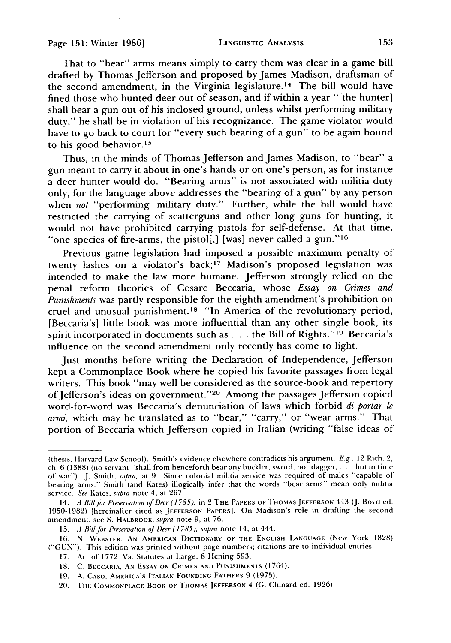That to "bear" arms means simply to carry them was clear in a game bill drafted by Thomas Jefferson and proposed by James Madison, draftsman of the second amendment, in the Virginia legislature.<sup>14</sup> The bill would have fined those who hunted deer out of season, and if within a year "[the hunter] shall bear a gun out of his inclosed ground, unless whilst performing military duty," he shall be in violation of his recognizance. The game violator would have to go back to court for "every such bearing of a gun" to be again bound to his good behavior.15

Thus, in the minds of Thomas Jefferson and James Madison, to "bear" a gun meant to carry it about in one's hands or on one's person, as for instance a deer hunter would do. "Bearing arms" is not associated with militia duty only, for the language above addresses the "bearing of a gun" by any person when *not* "performing military duty." Further, while the bill would have restricted the carrying of scatterguns and other long guns for hunting, it would not have prohibited carrying pistols for self-defense. At that time, "one species of fire-arms, the pistol[,] [was] never called a gun."<sup>16</sup>

Previous game legislation had imposed a possible maximum penalty of twenty lashes on a violator's back;<sup>17</sup> Madison's proposed legislation was intended to make the law more humane. Jefferson strongly relied on the penal reform theories of Cesare Beccaria, whose *Essay on Crimes and Punishments* was partly responsible for the eighth amendment's prohibition on cruel and unusual punishment.<sup>18</sup> "In America of the revolutionary period, [Beccaria's] little book was more influential than any other single book, its spirit incorporated in documents such as . . . the Bill of Rights."<sup>19</sup> Beccaria's influence on the second amendment only recently has come to light.

Just months before writing the Declaration of Independence, Jefferson kept a Commonplace Book where he copied his favorite passages from legal writers. This book "may well be considered as the source-book and repertory of Jefferson's ideas on government." 20 Among the passages Jefferson copied word-for-word was Beccaria's denunciation of laws which forbid *di portar le armi,* which may be translated as to "bear," "carry," or "wear arms." That portion of Beccaria which Jefferson copied in Italian (writing "false ideas of

<sup>(</sup>thesis, Harvard Law School). Smith's evidence elsewhere contradicts his argument. E.g., 12 Rich. 2, ch. 6 (1388) (no servant "shall from henceforth bear any buckler, sword, nor dagger, . **.** . but in time of war"). J. Smith, supra, at 9. Since colonial militia service was required of males "capable of bearing arms," Smith (and Kates) illogically infer that the words "bear arms" mean only militia service. See Kates, supra note 4, at 267.

<sup>14.</sup> A Bill *for Preseration of Deer (1785),* in 2 THE PAPERS **OF THOMAS JEFFERSON** 443 (J. Boyd ed. 1950-1982) [hereinafter cited as **JEFFERSON** PAPERS]. On Madison's role in drafting the second amendment, see S. HALBROOK, *supra* note 9, at 76.

**<sup>15.</sup>** *A Bill* for *Preservation of Deer (1785), supra* note 14, at 444.

**<sup>16.</sup> N.** WEBSTER, **AN AMERICAN DICTIONARY** OF **THE** ENGLISH **LANGUAGE** (New York 1828) ("GUN"). This edition was printed without page numbers; citations are to individual entries.

<sup>17.</sup> Act of 1772, Va. Statutes at Large, 8 Hening 593.

<sup>18.</sup> C. BECCARIA, AN **ESSAY ON** CRIMES **AND PUNISHMENTS** (1764).

**<sup>19.</sup> A. CASO, AMERICA'S ITALIAN** FOUNDING FATHERS 9 (1975).

<sup>20.</sup> **IlE COMMONPLACE** BOOK **OF THOMAS JEFFERSON** 4 **(G.** Chinard ed. 1926).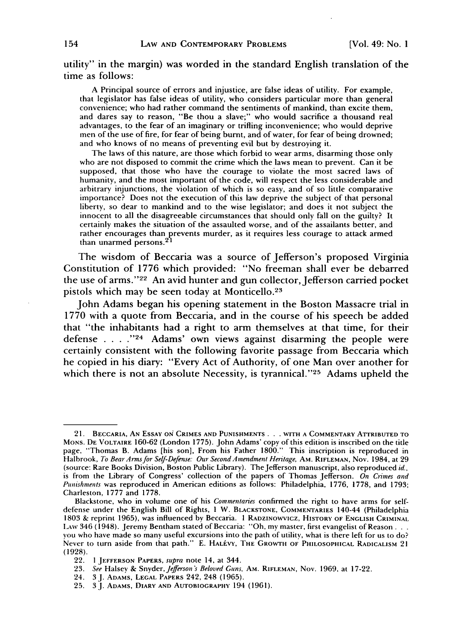utility" in the margin) was worded in the standard English translation of the time as follows:

A Principal source of errors and injustice, are false ideas of utility. For example, that legislator has false ideas of utility, who considers particular more than general convenience; who had rather command the sentiments of mankind, than excite them, and dares say to reason, "Be thou a slave;" who would sacrifice a thousand real advantages, to the fear of an imaginary or trifling inconvenience; who would deprive men of the use of fire, for fear of being burnt, and of water, for fear of being drowned; and who knows of no means of preventing evil but by destroying it.

The laws of this nature, are those which forbid to wear arms, disarming those only who are not disposed to commit the crime which the laws mean to prevent. Can it be supposed, that those who have the courage to violate the most sacred laws of humanity, and the most important of the code, will respect the less considerable and arbitrary injunctions, the violation of which is so easy, and of so little comparative importance? Does not the execution of this law deprive the subject of that personal liberty, so dear to mankind and to the wise legislator; and does it not subject the innocent to all the disagreeable circumstances that should only fall on the guilty? It certainly makes the situation of the assaulted worse, and of the assailants better, and rather encourages than prevents murder, as it requires less courage to attack armed than unarmed persons.<sup>21</sup>

The wisdom of Beccaria was a source of Jefferson's proposed Virginia Constitution of 1776 which provided: "No freeman shall ever be debarred the use of arms."<sup>22</sup> An avid hunter and gun collector, Jefferson carried pocket pistols which may be seen today at Monticello.<sup>23</sup>

John Adams began his opening statement in the Boston Massacre trial in 1770 with a quote from Beccaria, and in the course of his speech be added that "the inhabitants had a right to arm themselves at that time, for their defense **.... <sup>24</sup>**Adams' own views against disarming the people were certainly consistent with the following favorite passage from Beccaria which he copied in his diary: "Every Act of Authority, of one Man over another for which there is not an absolute Necessity, is tyrannical."<sup>25</sup> Adams upheld the

<sup>21.</sup> BECCARIA, **AN ESSAY ON CRIMES AND PUNISHMENTS . .. WITH A** COMMENTARY **ATTRIBUTED TO** MONS. **DE** VOLTAIRE **160-62** (London 1775). John Adams' copy of this edition is inscribed on the title page, "Thomas B. Adams [his son], From his Father 1800." This inscription is reproduced in Halbrook, *To Bear Armsfor Self-Defense: Our SecondAmendment Heritage,* **AM.** RIFLEMAN, Nov. 1984, at 29 (source: Rare Books Division, Boston Public Library). TheJefferson manuscript, also reproduced *id.,* is from the Library of Congress' collection of the papers of Thomas Jefferson. *On Crimes and* Punishments was reproduced in American editions as follows: Philadelphia, 1776, 1778, and 1793; Charleston, 1777 and 1778.

Blackstone, who in volume one of his *Commentaries* confirmed the right to have arms for selfdefense under the English Bill of Rights, 1 W. **BLACKSTONE, COMMENTARIES** 140-44 (Philadelphia 1803 & reprint 1965), was influenced by Beccaria. **I** RADZINOWVICz, HISTORY **OF ENGLISH** CRIMINAL LAW 346 (1948). Jeremy Bentham stated of Beccaria: "Oh, my master, first evangelist of Reason... you who have made so many useful excursions into the path of utility, what is there left for us to do? Never to turn aside from that path." E. HALEVY, THE GROWTH OF PHILOSOPHICAL RADICALISM 21 (1928).

<sup>22.</sup> **1 JEFFERSON PAPERS,** *supra* note 14, at 344.

**<sup>23.</sup>** *See* Halsey & Snyder, *Jefferson's Beloved Guns,* AM. RIFLEMAN, Nov. 1969, at 17-22.

<sup>24. 3</sup>J. **ADAMS, LEGAL** PAPERS 242, 248 (1965).

<sup>25. 3</sup>J. **ADAMS,** DIARY **AND** AUTOBIOGRAPHY 194 (1961).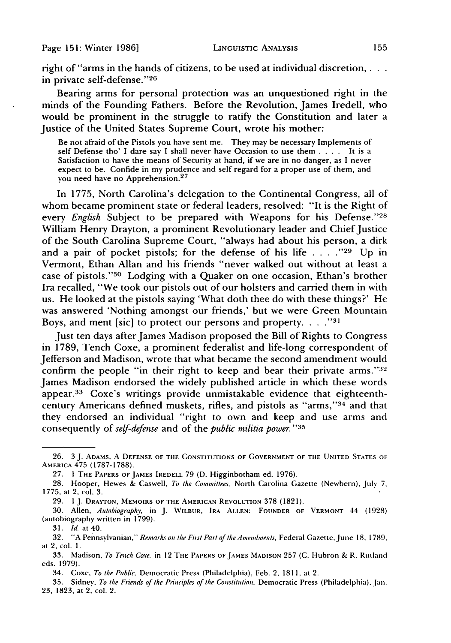right of "arms in the hands of citizens, to be used at individual discretion, in private self-defense."26

Bearing arms for personal protection was an unquestioned right in the minds of the Founding Fathers. Before the Revolution, James Iredell, who would be prominent in the struggle to ratify the Constitution and later a Justice of the United States Supreme Court, wrote his mother:

Be not afraid of the Pistols you have sent me. They may be necessary Implements of self Defense tho' I dare say I shall never have Occasion to use them . **. .** . It is a Satisfaction to have the means of Security at hand, if we are in no danger, as I never expect to be. Confide in my prudence and self regard for a proper use of them, and you need have no Apprehension.<sup>27</sup>

In 1775, North Carolina's delegation to the Continental Congress, all of whom became prominent state or federal leaders, resolved: "It is the Right of every *English* Subject to be prepared with Weapons for his Defense."28 William Henry Drayton, a prominent Revolutionary leader and Chief Justice of the South Carolina Supreme Court, "always had about his person, a dirk and a pair of pocket pistols; for the defense of his life . . . . "29 Up in Vermont, Ethan Allan and his friends "never walked out without at least a case of pistols."<sup>30</sup> Lodging with a Quaker on one occasion, Ethan's brother Ira recalled, "We took our pistols out of our holsters and carried them in with us. He looked at the pistols saying 'What doth thee do with these things?' He was answered 'Nothing amongst our friends,' but we were Green Mountain Boys, and ment [sic] to protect our persons and property **... .**

Just ten days after James Madison proposed the Bill of Rights to Congress in 1789, Tench Coxe, a prominent federalist and life-long correspondent of Jefferson and Madison, wrote that what became the second amendment would confirm the people "in their right to keep and bear their private arms."<sup>32</sup> James Madison endorsed the widely published article in which these words appear.<sup>33</sup> Coxe's writings provide unmistakable evidence that eighteenthcentury Americans defined muskets, rifles, and pistols as "arms,"<sup>34</sup> and that they endorsed an individual "right to own and keep and use arms and consequently of *self-defense* and of the *public militia power." <sup>3</sup> <sup>5</sup>*

<sup>26. 3</sup> J. **ADAMS, A DEFENSE** OF **THE CONSTITUTIONS** OF **GOVERNMENT** OF THE **UNITED STATES** OF AMERICA 475 (1787-1788).

<sup>27. 1</sup> THE PAPERS **OF JAMES** IREDELL 79 (D. Higginbotham ed. 1976).

<sup>28.</sup> Hooper, Hewes & Caswell, To the Committees, North Carolina Gazette (Newbern), July **7,** 1775, at 2, col. 3.

<sup>29. 1</sup> J. DRAYTON, MEMOIRS **OF** THE **AMERICAN REVOLUTION** 378 (1821).

<sup>30.</sup> Allen, Autobiography, in J. WILBUR, IRA **ALLEN:** FOUNDER OF VERMONT 44 (1928) (autobiography written in 1799).

*<sup>31.</sup>* Id. at 40.

<sup>32. &</sup>quot;A Pennsylvanian," Remarks on the First Part of the Amendments, Federal Gazette,June **18,** 1789, at 2, col. **1.**

<sup>33.</sup> Madison, *To Tench Coxe.* in 12 THE PAPERS **OF JAMES MADISON 257** (C. Hubron & R. Rutland eds. 1979).

<sup>34.</sup> Coxe, *To the Public,* Democratic Press (Philadelphia), Feb. 2, 1811, at 2.

<sup>35.</sup> Sidney, *To* the Friends of the Principles *of* the Constitution. Democratic Press (Philadelphia), Jan. **23,** 1823, at 2, col. 2.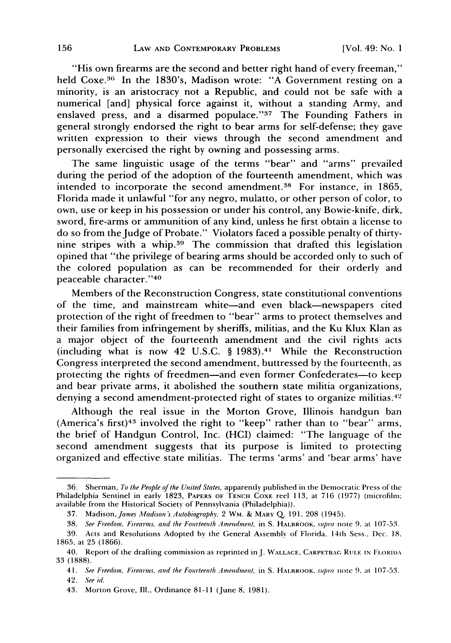"His own firearms are the second and better right hand of every freeman," held Coxe.<sup>36</sup> In the 1830's, Madison wrote: "A Government resting on a minority, is an aristocracy not a Republic, and could not be safe with a numerical [and] physical force against it, without a standing Army, and enslaved press, and a disarmed populace."<sup>37</sup> The Founding Fathers in general strongly endorsed the right to bear arms for self-defense; they gave written expression to their views through the second amendment and personally exercised the right by owning and possessing arms.

The same linguistic usage of the terms "bear" and "arms" prevailed during the period of the adoption of the fourteenth amendment, which was intended to incorporate the second amendment.<sup>38</sup> For instance, in 1865, Florida made it unlawful "for any negro, mulatto, or other person of color, to own, use or keep in his possession or under his control, any Bowie-knife, dirk, sword, fire-arms or ammunition of any kind, unless he first obtain a license to do so from the Judge of Probate." Violators faced a possible penalty of thirtynine stripes with a whip. 39 The commission that drafted this legislation opined that "the privilege of bearing arms should be accorded only to such of the colored population as can be recommended for their orderly and peaceable character." <sup>40</sup>

Members of the Reconstruction Congress, state constitutional conventions of the time, and mainstream white-and even black-newspapers cited protection of the right of freedmen to "bear" arms to protect themselves and their families from infringement by sheriffs, militias, and the Ku Klux Klan as a major object of the fourteenth amendment and the civil rights acts (including what is now 42 U.S.C.  $\S$  1983).<sup>41</sup> While the Reconstruction Congress interpreted the second amendment, buttressed by the fourteenth, as protecting the rights of freedmen—and even former Confederates—to keep and bear private arms, it abolished the southern state militia organizations, denying a second amendment-protected right of states to organize militias.<sup>42</sup>

Although the real issue in the Morton Grove, Illinois handgun ban (America's first)<sup>43</sup> involved the right to "keep" rather than to "bear" arms, the brief of Handgun Control, Inc. (HCI) claimed: "The language of the second amendment suggests that its purpose is limited to protecting organized and effective state militias. The terms 'arms' and 'bear arms' have

<sup>36.</sup> Sherman, *To the People of the United States,* apparently published in the Democratic Press of the Philadelphia Sentinel in early 1823, PAPERS **OF TENCH COXE** reel 113, at 716 (1977) (microfilm; available from the Historical Society of Pennsylvania (Philadelphia)).

<sup>37.</sup> *Madison,James ladisons Autobiography.,* 2 WM. & MARI' **Q.** 191, 208 (1945).

<sup>38.</sup> *See Freedom, Firearms, and the Fourteenth Amendment,* in S. HALBROOK, *supra* note *9,* at 107-53.

<sup>39.</sup> Acts and Resolutions Adopted by the General Assembly of Florida, 14th Sess., Dec. 18. 1865, at 25 (1866).

<sup>40.</sup> Report of the drafting commission as reprinted inJ. **WALLACE,** CARPETBAc. RULE **IN** FLORIDA 33 (1888).

<sup>41.</sup> *See Freedom, Firearnts, and the Fourteenth Amendment,* in S. HAIBROOK. *smupra* note **9.** at 107-53. *42. See id.*

<sup>43.</sup> Morton Grove, Ill., Ordinance 81-11 (June **8,** 1981).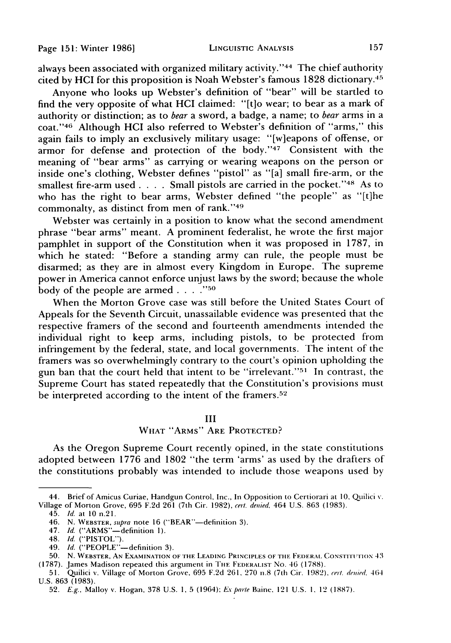always been associated with organized military activity."<sup>44</sup> The chief authority cited by HCI for this proposition is Noah Webster's famous 1828 dictionary. <sup>45</sup>

Anyone who looks up Webster's definition of "bear" will be startled to find the very opposite of what HCI claimed: "[t]o wear; to bear as a mark of authority or distinction; as to *bear* a sword, a badge, a name; to *bear* arms in a coat."46 Although HCI also referred to Webster's definition of "arms," this again fails to imply an exclusively military usage: "[w]eapons of offense, or armor for defense and protection of the body."47 Consistent with the meaning of "bear arms" as carrying or wearing weapons on the person or inside one's clothing, Webster defines "pistol" as "[a] small fire-arm, or the smallest fire-arm used . **. .** . Small pistols are carried in the pocket." 48 As to who has the right to bear arms, Webster defined "the people" as "[t]he commonalty, as distinct from men of rank."49

Webster was certainly in a position to know what the second amendment phrase "bear arms" meant. A prominent federalist, he wrote the first major pamphlet in support of the Constitution when it was proposed in 1787, in which he stated: "Before a standing army can rule, the people must be disarmed; as they are in almost every Kingdom in Europe. The supreme power in America cannot enforce unjust laws by the sword; because the whole body of the people are armed  $\ldots$ .  $\ldots$ <sup>750</sup>

When the Morton Grove case was still before the United States Court of Appeals for the Seventh Circuit, unassailable evidence was presented that the respective framers of the second and fourteenth amendments intended the individual right to keep arms, including pistols, to be protected from infringement by the federal, state, and local governments. The intent of the framers was so overwhelmingly contrary to the court's opinion upholding the gun ban that the court held that intent to be "irrelevant."<sup>51</sup> In contrast, the Supreme Court has stated repeatedly that the Constitution's provisions must be interpreted according to the intent of the framers.<sup>52</sup>

# III

# WHAT "ARMS" ARE PROTECTED?

As the Oregon Supreme Court recently opined, in the state constitutions adopted between 1776 and 1802 "the term 'arms' as used by the drafters of the constitutions probably was intended to include those weapons used by

<sup>44.</sup> Brief of Amicus Curiae, Handgun Control, Inc., In Opposition to Certiorari at **10,** Quilici v. Village of Morton Grove, 695 F.2d 261 (7th Cir. 1982), cert. denied, 464 U.S. 863 (1983).

<sup>45.</sup> *Id.* at 10 n.21.

<sup>46.</sup> N. WEBSTER, supra note 16 ("BEAR"-definition 3).

<sup>47.</sup> *Id.* ("ARMS"-definition **1).**

<sup>48.</sup> *Id.* ("PISTOL").

<sup>49.</sup> *Id.* ("PEOPLE"-definition 3).

**<sup>50.</sup> N.** WEBSTER, AN **EXAMINATION** OF **THE LEADING** PRINCIPLES OF **TilE** FEDERAL **CONSTITITION** 43 (1787). James Madison repeated this argument in TIlE FEDERALIST No. 46 (1788).

**<sup>51.</sup>** Quilici v. Village of Morton Grove, **695** F.2d 261, 270 n.8 (7th Cir. 1982). **rert.** delied, 464 U.S. 863 (1983).

<sup>52.</sup> E.g., Malloy v. Hogan, 378 U.S. **1,** 5 (1964); **Ex'** parte Baine. 121 U.S. **I,** 12 (1887).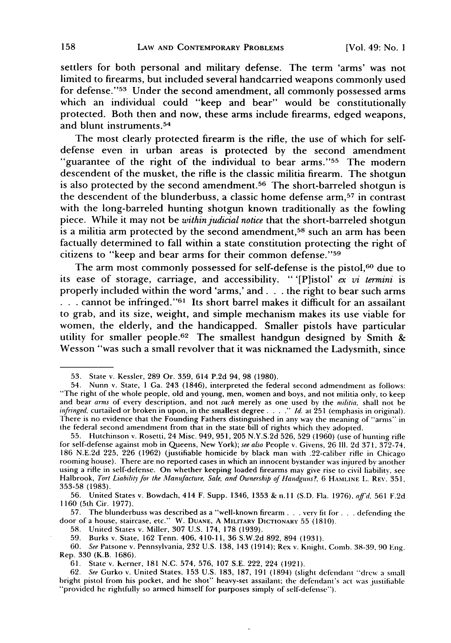settlers for both personal and military defense. The term 'arms' was not limited to firearms, but included several handcarried weapons commonly used for defense."<sup>53</sup> Under the second amendment, all commonly possessed arms which an individual could "keep and bear" would be constitutionally protected. Both then and now, these arms include firearms, edged weapons, and blunt instruments. <sup>54</sup>

The most clearly protected firearm is the rifle, the use of which for selfdefense even in urban areas is protected by the second amendment "guarantee of the right of the individual to bear arms."<sup>55</sup> The modern descendent of the musket, the rifle is the classic militia firearm. The shotgun is also protected by the second amendment.<sup>56</sup> The short-barreled shotgun is the descendent of the blunderbuss, a classic home defense arm, 57 in contrast with the long-barreled hunting shotgun known traditionally as the fowling piece. While it may not be *within judicial notice* that the short-barreled shotgun is a militia arm protected by the second amendment,<sup>58</sup> such an arm has been factually determined to fall within a state constitution protecting the right of citizens to "keep and bear arms for their common defense." <sup>59</sup>

The arm most commonly possessed for self-defense is the pistol,<sup>60</sup> due to its ease of storage, carriage, and accessibility. " '[P]istol' *ex vi termini* is properly included within the word 'arms,' and. **. .** the right to bear such arms **.** . . cannot be infringed."<sup>61</sup> Its short barrel makes it difficult for an assailant to grab, and its size, weight, and simple mechanism makes its use viable for women, the elderly, and the handicapped. Smaller pistols have particular utility for smaller people.<sup>62</sup> The smallest handgun designed by Smith & Wesson "was such a small revolver that it was nicknamed the Ladysmith, since

57. The blunderbuss was described as a "well-known firearm.., very fit for **..** defending the door of a house, staircase, etc." W. **DUANE,** A MILITARY DICTIONARY 55 (1810).

**58.** United States v. Miller, 307 U.S. 174, 178 (1939).

**59.** Burks v. State, 162 Tenn. 406, 410-11, 36 S.W.2d 892, 894 (1931).

60. *See* Patsone v. Pennsylvania, 232 U.S. 138, 143 (1914); Rex v. Knight, Comb. **38-39,** 90 Eng. Rep. 330 (K.B. 1686).

<sup>53.</sup> State v. Kessler, 289 Or. 359, 614 P.2d 94, 98 (1980).

<sup>54.</sup> Nunn v. State, 1 Ga. 243 (1846), interpreted the federal second admendment as follows: "The right of the whole people, old and young, men, women and boys, and not militia only, to keep and bear arms of every description, and not such merely as one used by the *militia,* shall not be *infringed,* curtailed or broken in upon, in the smallest degree *.... ." Id.* at 251 (emphasis in original). There is no evidence that the Founding Fathers distinguished in any way the meaning of "arms" in the federal second amendment from that in the state bill of rights which they adopted.

<sup>55.</sup> Hutchinson v. Rosetti, 24 Misc. 949, 951, 205 N.Y.S.2d 526, 529 (1960) (use of hunting rifle for self-defense against mob in Queens, New York); *see also* People v. Givens, 26 **11.** 2d 371, 372-74, 186 N.E.2d 225, 226 (1962) (justifiable homicide by black man with .22-caliber rifle in Chicago rooming house). There are no reported cases in which an innocent bystander was injured by another using a rifle in self-defense. On whether keeping loaded firearms may give rise to civil liability. see Halbrook, *Tort* Liability *for* the *11anufacture, Sale, and Ownership* of *Handguns?,* 6 HAMLINE L. **REv.** 351, 353-58 (1983).

<sup>56.</sup> United States v. Bowdach, 414 F. Supp. 1346, 1353 & n.! I (S.D. Fla. 1976), *affid* 561 F.2d 1160 (5th Cir. 1977).

<sup>61.</sup> State v. Kerner, 181 N.C. 574, 576, 107 S.E. 222, 224 (1921).

<sup>62.</sup> *See* Gurko v. United States, **153** U.S. 183, 187, 191 (1894) (slight defendant "drew a small bright pistol from his pocket, and he shot" heavy-set assailant; the defendant's act was justiliable "provided he rightfully so armed himself for purposes simply of self-defense").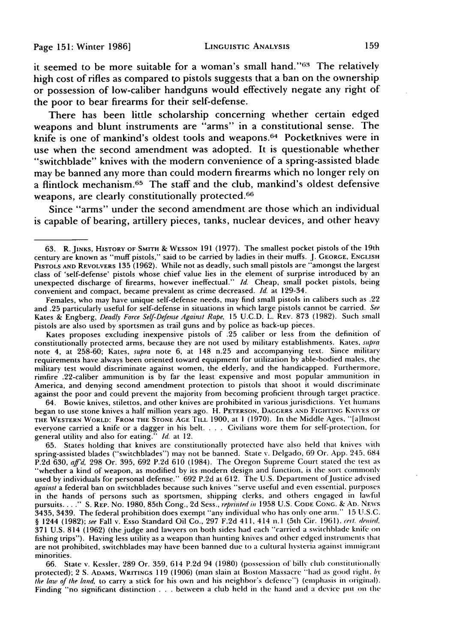it seemed to be more suitable for a woman's small hand."<sup>63</sup> The relatively high cost of rifles as compared to pistols suggests that a ban on the ownership or possession of low-caliber handguns would effectively negate any right of the poor to bear firearms for their self-defense.

There has been little scholarship concerning whether certain edged weapons and blunt instruments are "arms" in a constitutional sense. The knife is one of mankind's oldest tools and weapons.<sup>64</sup> Pocketknives were in use when the second amendment was adopted. It is questionable whether "switchblade" knives with the modem convenience of a spring-assisted blade may be banned any more than could modern firearms which no longer rely on a flintlock mechanism. 65 The staff and the club, mankind's oldest defensive weapons, are clearly constitutionally protected.66

Since "arms" under the second amendment are those which an individual is capable of bearing, artillery pieces, tanks, nuclear devices, and other heavy

Females, who may have unique self-defense needs, may find small pistols in calibers such as .22 and .25 particularly useful for self-defense in situations in which large pistols cannot be carried. *See* Kates & Engberg, *Deadly Force Self-Defense Against Rape,* 15 U.C.D. L. REV. 873 (1982). Such small pistols are also used by sportsmen as trail guns and **by** police as back-up pieces.

Kates proposes excluding inexpensive pistols of .25 caliber or less from the definition of constitutionally protected arms, because they are not used by military establishments. Kates, *supra* note 4, at 258-60; Kates, *supra* note 6, at 148 n.25 and accompanying text. Since military requirements have always been oriented toward equipment for utilization by able-bodied males, the military test would discriminate against women, the elderly, and the handicapped. Furthermore, rimfire .22-caliber ammunition is by far the least expensive and most popular ammunition in America, and denying second amendment protection to pistols that shoot it would discriminate against the poor and could prevent the majority from becoming proficient through target practice.

64. Bowie knives, stilettos, and other knives are prohibited in various jurisdictions. Yet humans began to use stone knives a half million years ago. H. PETERSON, DAGGERS AND FIGHTING KNIVES OF THE WESTERN WORLD: FROM THE STONE AGE TILL 1900, at 1 (1970). In the Middle Ages, "[allmost everyone carried a knife or a dagger in his belt. . **.** . Civilians wore them for self-protection, for general utility and also for eating." *Id.* at 12.

65. States holding that knives are constitutionally protected have also held that knives with spring-assisted blades ("switchblades") may not be banned. State v. Delgado, 69 Or. App. 245. 684 P.2d 630, *aiFfd,* 298 Or. 395, 692 P.2d 610 (1984). The Oregon Supreme Court stated the test as "whether a kind of weapon, as modified by its modern design and function, is the sort commonly used by individuals for personal defense." 692 P.2d at 612. The U.S. Department of Justice advised *against* a federal ban on switchblades because such knives "serve useful and even essential, purposes in the hands of persons such as sportsmen, shipping clerks, and others engaged in lawful pursuits .... **"** S. REP. No. 1980, 85th Cong., 2d Sess., *reprntedin* 1958 U.S. **CODE** CONG. **&** An. NEWS 3435, 3439. The federal prohibition does exempt "any individual who has only one arm." 15 U.S.C. § 1244 (1982); *see* Fall v. Esso Standard Oil Co., 297 F.2d 411, 414 n.I (5th Cir. 1961), cert. demed. 371 U.S. 814 (1962) (the judge and lawyers on both sides had each "carried a switchblade knife on fishing trips"). Having less utility as a weapon than hunting knives and other edged instruments ihat are not prohibited, switchblades may have been banned due to a cultural hysteria against immigrant minorities.

66. State v. Kessler, 289 Or. 359, 614 P.2d 94 (1980) (possession of billy club constitutionally protected); 2 S. ADAMS, WRITINGS 119 (1906) (man slain at Boston Massacre "had as good right. *by* the *law of the land,* to carry a stick for his own and his neighbor's defence') (emphasis in original). Finding "no significant distinction . . . between a club held in the hand and a device put on the

<sup>63.</sup> R. JINKS, HISTORY OF SMITH **&** WESSON 191 (1977). The smallest pocket pistols of the 19th century are known as "muff pistols," said to be carried by ladies in their muffs. J. GEORGE, ENGLISH PISTOLS AND REVOLVERS 135 (1962). While not as deadly, such small pistols are "amongst the largest class of 'self-defense' pistols whose chief value lies in the element of surprise introduced by an unexpected discharge of firearms, however ineffectual." *Id.* Cheap, small pocket pistols, being convenient and compact, became prevalent as crime decreased. *Id.* at 129-34.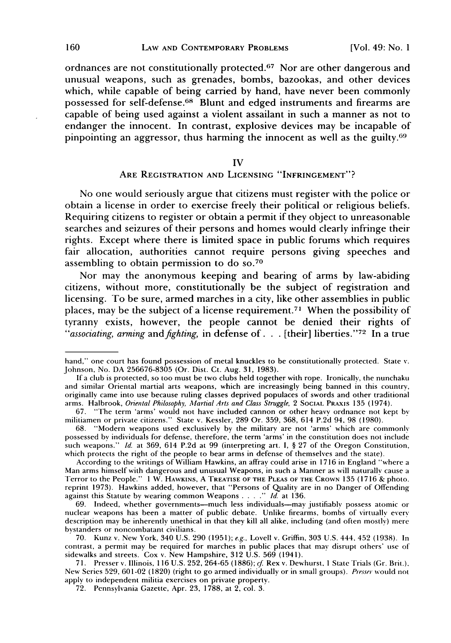ordnances are not constitutionally protected.<sup>67</sup> Nor are other dangerous and unusual weapons, such as grenades, bombs, bazookas, and other devices which, while capable of being carried by hand, have never been commonly possessed for self-defense. 68 Blunt and edged instruments and firearms are capable of being used against a violent assailant in such a manner as not to endanger the innocent. In contrast, explosive devices may be incapable of pinpointing an aggressor, thus harming the innocent as well as the guilty. <sup>69</sup>

#### IV

# **ARE** REGISTRATION **AND LICENSING "INFRINGEMENT"?**

No one would seriously argue that citizens must register with the police or obtain a license in order to exercise freely their political or religious beliefs. Requiring citizens to register or obtain a permit **if** they object to unreasonable searches and seizures of their persons and homes would clearly infringe their rights. Except where there is limited space in public forums which requires fair allocation, authorities cannot require persons giving speeches and assembling to obtain permission to do **so. <sup>70</sup>**

Nor may the anonymous keeping and bearing of arms **by** law-abiding citizens, without more, constitutionally be the subject of registration and licensing. To be sure, armed marches in a city, like other assemblies in public places, may be the subject of a license requirement. 7' When the possibility of tyranny exists, however, the people cannot be denied their rights of *"associating, arming and fighting,* in defense **of. . .** [their] liberties." 72 In a true

hand," one court has found possession of metal knuckles to be constitutionally protected. State v. Johnson, No. DA 256676-8305 (Or. Dist. Ct. Aug. 31, 1983).

**If** a club is protected, so too must be two clubs held together with rope. Ironically, the nunchaku and similar Oriental martial arts weapons, which are increasingly being banned in this country, originally came into use because ruling classes deprived populaces of swords and other traditional arms. Halbrook, Oriental Philosophy, *Mfartial Arts and Class Struggle,* 2 **SOCIAL** PRAXIS 135 (1974).

<sup>67. &</sup>quot;The term 'arms' would not have included cannon or other heavy ordnance not kept **by** militiamen or private citizens." State v. Kessler, 289 Or. 359, 368, 614 P.2d 94, 98 (1980).

<sup>68. &</sup>quot;Modern weapons used exclusively by the military are not 'arms' which are commonly possessed **by** individuals for defense, therefore, the term 'arms' in the constitution does not include such weapons." *Id.* at 369, 614 P.2d at 99 (interpreting art. I, § 27 of the Oregon Constitution, which protects the right of the people to bear arms in defense of themselves and the state).

According to the writings of William Hawkins, an affray could arise in 1716 in England "where a Man arms himself with dangerous and unusual Weapons, in such a Manner as will naturally cause a Terror to the People." 1 W. HAWKINS, A TREATISE **OF THE PLEAS** OF **THE** CROWN 135 (1716 & photo. reprint 1973). Hawkins added, however, that "Persons of Quality are in no Danger of Offending against this Statute by wearing common Weapons .... *." Id.* at 136.

<sup>69.</sup> Indeed, whether governments-much less individuals-may justifiably possess atomic or nuclear weapons has been a matter of public debate. Unlike firearms, bombs of virtually every description may be inherently unethical in that they kill all alike, including (and often mostly) mere bystanders or noncombatant civilians.

<sup>70.</sup> Kunz v. New York, 340 U.S. 290 (1951); *e.g.,* Lovell v. Griffin, 303 U.S. 444, 452 (1938). In contrast, a permit may be required for marches in public places that may disrupt others' use of sidewalks and streets. Cox v. New Hampshire, 312 U.S. 569 (1941).

<sup>71.</sup> Presser v. Illinois, 116 U.S. 252, 264-65 (1886); *cf* Rex v. Dewhurst, **I** State Trials (Gr. Brit.). New Series 529, 601-02 **(1820)** (right to go armed individually or in small groups). *Presser* would not apply to independent militia exercises on private property.

<sup>72.</sup> Pennsylvania Gazette, Apr. 23, 1788, at 2, col. 3.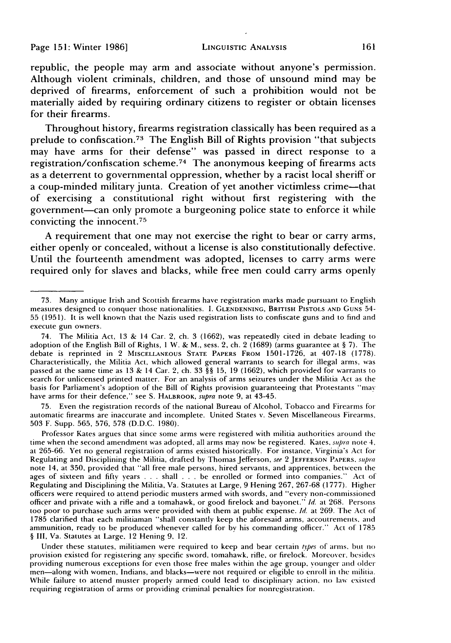republic, the people may arm and associate without anyone's permission. Although violent criminals, children, and those of unsound mind may be deprived of firearms, enforcement of such a prohibition would not be materially aided **by** requiring ordinary citizens to register or obtain licenses for their firearms.

Throughout history, firearms registration classically has been required as a prelude to confiscation. 73 The English Bill of Rights provision "that subjects may have arms for their defense" was passed in direct response to a registration/confiscation scheme.<sup>74</sup> The anonymous keeping of firearms acts as a deterrent to governmental oppression, whether by a racist local sheriff or a coup-minded military junta. Creation of yet another victimless crime-that of exercising a constitutional right without first registering with the government-can only promote a burgeoning police state to enforce it while convicting the innocent. <sup>75</sup>

A requirement that one may not exercise the right to bear or carry arms, either openly or concealed, without a license is also constitutionally defective. Until the fourteenth amendment was adopted, licenses to carry arms were required only for slaves and blacks, while free men could carry arms openly

75. Even the registration records of the national Bureau of Alcohol, Tobacco and Firearms **for** automatic firearms are inaccurate and incomplete. United States v. Seven Miscellaneous Firearms, 503 F. Supp. 565, 576, 578 (D.D.C. 1980).

Professor Kates argues that since some arms were registered with militia authorities around the time when the second amendment was adopted, all arms may now be registered. Kates, *supra* note 4, at 265-66. Yet no general registration of arms existed historically. For instance, Virginia's Act for Regulating and Disciplining the Militia, drafted by Thomas Jefferson, see 2 **JEFFERSON** PAPERS. *spra* note 14, at 350, provided that "all free male persons, hired servants, and apprentices, between the ages of sixteen and **fifty** years . . . shall . . . be enrolled or formed into companies." Act of Regulating and Disciplining the Militia, Va. Statutes at Large, 9 Hening 267, 267-68 (1777). Higher officers were required to attend periodic musters armed with swords, and "every non-commissioned officer and private with a rifle and a tomahawk, or good firelock and bayonet." *Id.* at 268. Persons too poor to purchase such arms were provided with them at public expense. *Id.* at 269. The Act of 1785 clarified that each militiaman "shall constantly keep the aforesaid arms, accoutrements, and ammunition, ready to be produced whenever called for by his commanding officer." Act of 1785 **§** III, Va. Statutes at Large. 12 Hening 9, 12.

Under these statutes, militiamen were required to keep and bear certain *types* of arms. but no provision existed for registering any specific sword, tomahawk, rifle, or firelock. Noreover. besides providing numerous exceptions for even those free males within the age group, younger and older men-along with women, Indians, and blacks-were not required or eligible to enroll in the militia. While failure to attend muster properly armed could lead to disciplinary action, no law existed requiring registration of arms or providing criminal penalties for nonregistration.

<sup>73.</sup> Many antique Irish and Scottish firearms have registration marks made pursuant to English measures designed to conquer those nationalities. I. **GLENDENNING,** BRITISH **PISTOLS AND** GUNS 54- 55 (1951). It is well known that the Nazis used registration lists to confiscate guns and to find and execute gun owners.

<sup>74.</sup> The Militia Act, 13 & 14 Car. 2, ch. 3 (1662), was repeatedly cited in debate leading to adoption of the English Bill of Rights, 1 W. & M., sess. 2, ch. 2 (1689) (arms guarantee at § 7). The debate is reprinted in 2 **MISCELLANEOUS STATE** PAPERS FROM 1501-1726, at 407-18 (1778). Characteristically, the Militia Act, which allowed general warrants to search for illegal arms, was passed at the same time as 13 & 14 Car. 2, ch. 33 §§ 15, 19 (1662), which provided for warrants to search for unlicensed printed matter. For an analysis of arms seizures under the Militia Act as the basis for Parliament's adoption of the Bill of Rights provision guaranteeing that Protestants "may have arms for their defence," see S. HALBROOK, supra note 9, at 43-45.